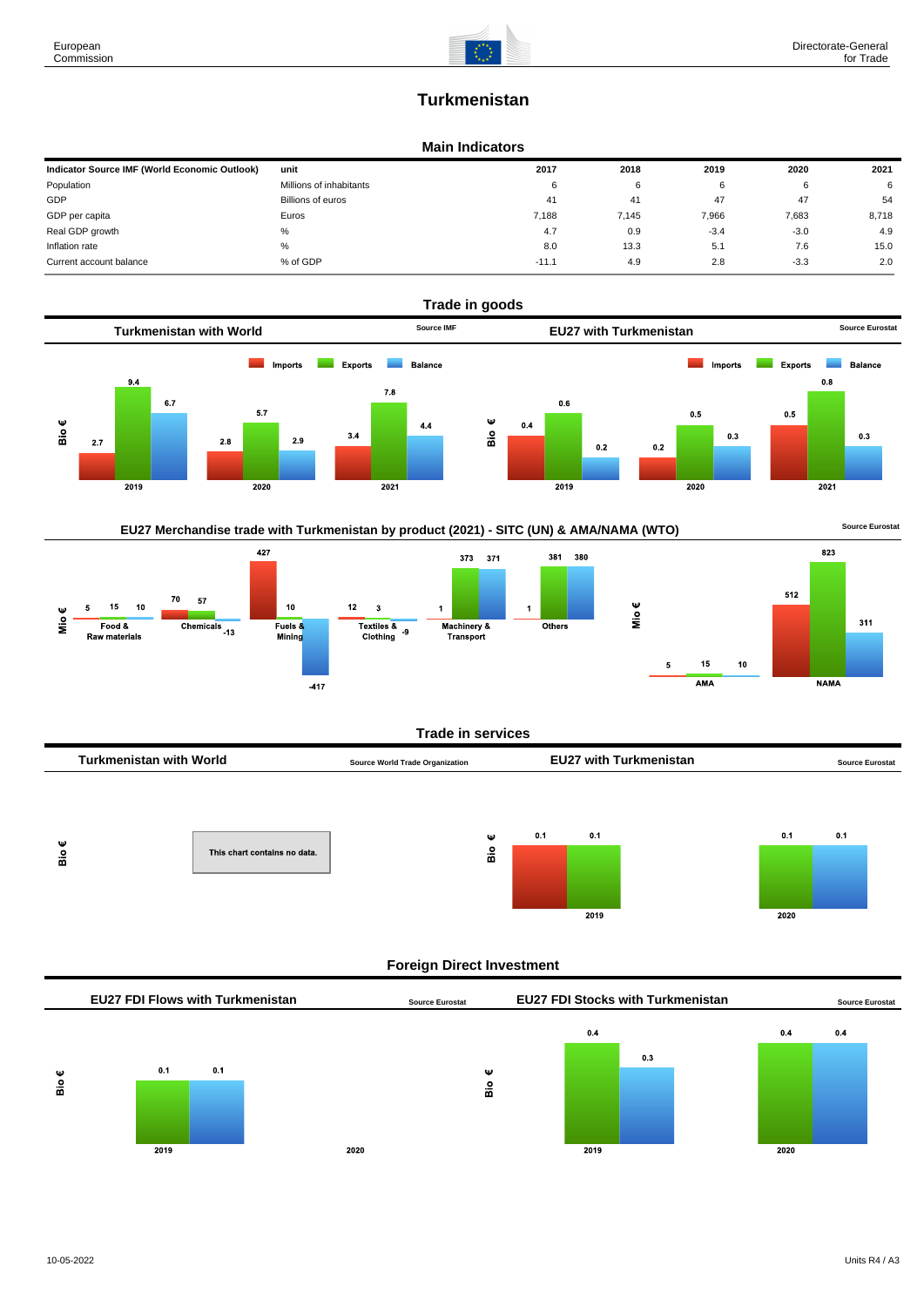823

**NAMA** 

311

# **Turkmenistan**

### **Main Indicators**

| Indicator Source IMF (World Economic Outlook) | unit                    | 2017    | 2018  | 2019   | 2020   | 2021  |
|-----------------------------------------------|-------------------------|---------|-------|--------|--------|-------|
| Population                                    | Millions of inhabitants | 6       | 6     |        |        | 6     |
| GDP                                           | Billions of euros       | 41      | 41    | 47     | 47     | 54    |
| GDP per capita                                | Euros                   | 7,188   | 7.145 | 7,966  | 7,683  | 8,718 |
| Real GDP growth                               | %                       | 4.7     | 0.9   | $-3.4$ | $-3.0$ | 4.9   |
| Inflation rate                                | %                       | 8.0     | 13.3  | 5.1    | 7.6    | 15.0  |
| Current account balance                       | % of GDP                | $-11.1$ | 4.9   | 2.8    | $-3.3$ | 2.0   |



## EU27 Merchandise trade with Turkmenistan by product (2021) - SITC (UN) & AMA/NAMA (WTO) **Source Eurostat**



### **Trade in services**

| <b>Turkmenistan with World</b> | <b>Source World Trade Organization</b> | <b>EU27 with Turkmenistan</b> | <b>Source Eurostat</b> |
|--------------------------------|----------------------------------------|-------------------------------|------------------------|
|                                |                                        |                               |                        |
|                                |                                        |                               |                        |



### **Foreign Direct Investment**